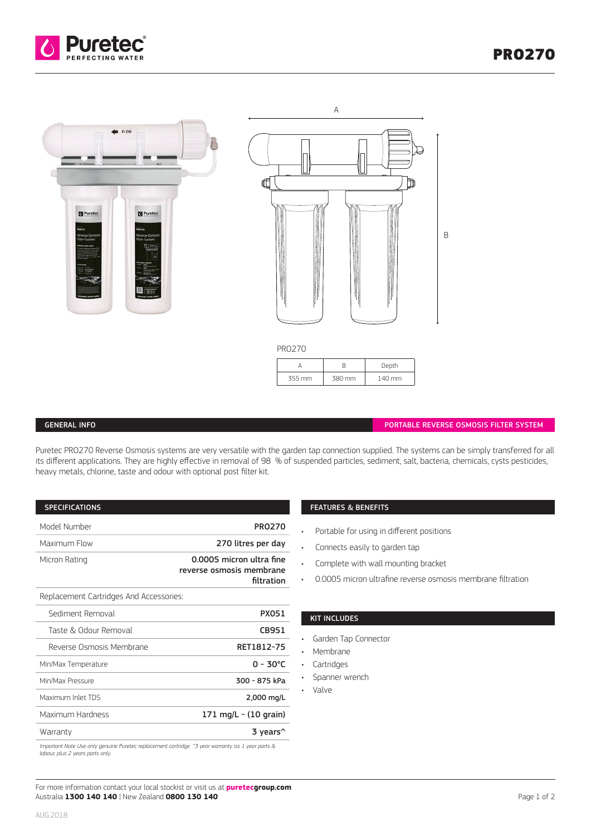





| FINUZ7U |        |        |
|---------|--------|--------|
|         |        | Depth  |
| 355 mm  | 380 mm | 140 mm |

## GENERAL INFO

PORTABLE REVERSE OSMOSIS FILTER SYSTEM

Puretec PRO270 Reverse Osmosis systems are very versatile with the garden tap connection supplied. The systems can be simply transferred for all its different applications. They are highly effective in removal of 98 % of suspended particles, sediment, salt, bacteria, chemicals, cysts pesticides, heavy metals, chlorine, taste and odour with optional post filter kit.

| <b>SPECIFICATIONS</b>                                                                                                                  |  |
|----------------------------------------------------------------------------------------------------------------------------------------|--|
| Model Number<br><b>PR0270</b>                                                                                                          |  |
| Maximum Flow<br>270 litres per day                                                                                                     |  |
| 0.0005 micron ultra fine<br>Micron Rating<br>reverse osmosis membrane<br>filtration                                                    |  |
| Replacement Cartridges And Accessories:                                                                                                |  |
| Sediment Removal<br><b>PX051</b>                                                                                                       |  |
| Taste & Odour Removal<br>CB951                                                                                                         |  |
| Reverse Osmosis Membrane<br>RET1812-75                                                                                                 |  |
| $0 - 30^{\circ}$ C<br>Min/Max Temperature                                                                                              |  |
| 300 - 875 kPa<br>Min/Max Pressure                                                                                                      |  |
| Maximum Inlet TDS<br>2,000 mg/L                                                                                                        |  |
| Maximum Hardness<br>171 mg/L - (10 grain)                                                                                              |  |
| Warranty<br>3 years <sup>^</sup>                                                                                                       |  |
| Important Note Use only genuine Puretec replacement cartridge. ^3 year warranty iss 1 year parts &<br>labour, plus 2 years parts only. |  |

**FEATURES & BENEFITS** 

• Portable for using in different positions

- Connects easily to garden tap
- Complete with wall mounting bracket
- 0.0005 micron ultrafine reverse osmosis membrane filtration

## KIT INCLUDES

- Garden Tap Connector
- Membrane
- Cartridges
- Spanner wrench
- Valve